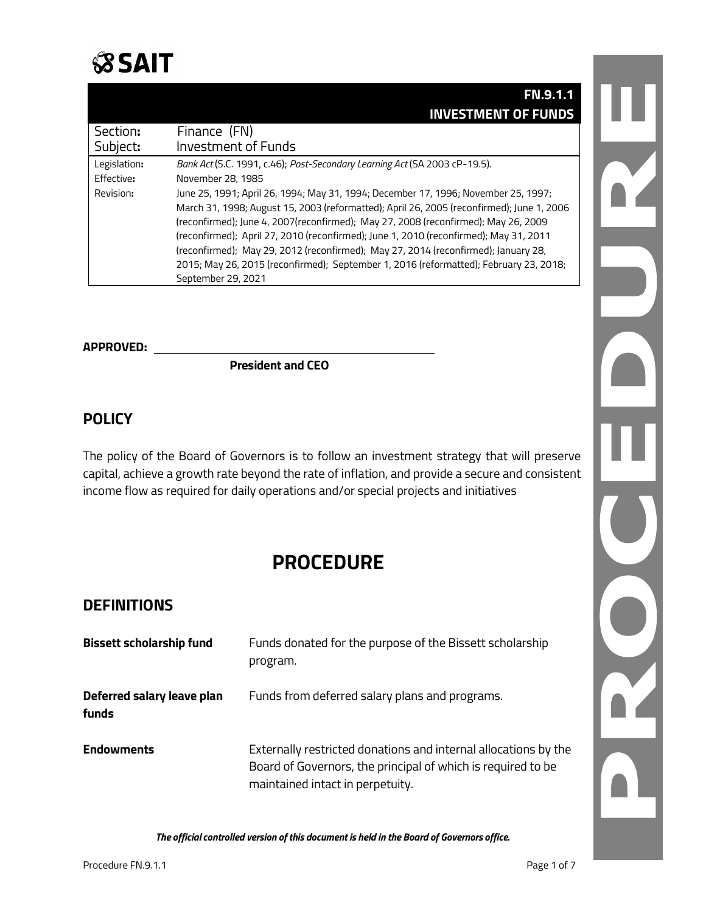

# **FN.9.1.1 INVESTMENT OF FUNDS**

| Section:     | Finance (FN)                                                                              |
|--------------|-------------------------------------------------------------------------------------------|
| Subject:     | Investment of Funds                                                                       |
| Legislation: | Bank Act (S.C. 1991, c.46); Post-Secondary Learning Act (SA 2003 cP-19.5).                |
| Effective:   | November 28, 1985                                                                         |
| Revision:    | June 25, 1991; April 26, 1994; May 31, 1994; December 17, 1996; November 25, 1997;        |
|              | March 31, 1998; August 15, 2003 (reformatted); April 26, 2005 (reconfirmed); June 1, 2006 |
|              | (reconfirmed); June 4, 2007(reconfirmed); May 27, 2008 (reconfirmed); May 26, 2009        |
|              | (reconfirmed); April 27, 2010 (reconfirmed); June 1, 2010 (reconfirmed); May 31, 2011     |
|              | (reconfirmed); May 29, 2012 (reconfirmed); May 27, 2014 (reconfirmed); January 28,        |
|              | 2015; May 26, 2015 (reconfirmed); September 1, 2016 (reformatted); February 23, 2018;     |
|              | September 29, 2021                                                                        |

# **APPROVED:**

 **President and CEO**

# **POLICY**

The policy of the Board of Governors is to follow an investment strategy that will preserve capital, achieve a growth rate beyond the rate of inflation, and provide a secure and consistent income flow as required for daily operations and/or special projects and initiatives

# **PROCEDURE**

### **DEFINITIONS**

| <b>Bissett scholarship fund</b>     | Funds donated for the purpose of the Bissett scholarship<br>program.                                                                                                |
|-------------------------------------|---------------------------------------------------------------------------------------------------------------------------------------------------------------------|
| Deferred salary leave plan<br>funds | Funds from deferred salary plans and programs.                                                                                                                      |
| <b>Endowments</b>                   | Externally restricted donations and internal allocations by the<br>Board of Governors, the principal of which is required to be<br>maintained intact in perpetuity. |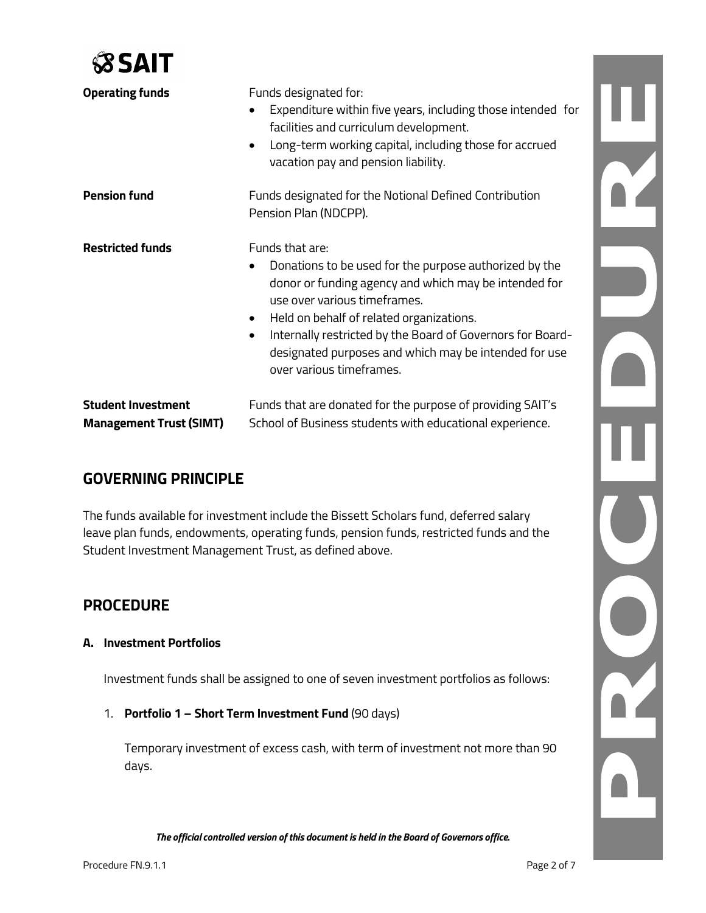

| <b>Operating funds</b>                                      | Funds designated for:<br>Expenditure within five years, including those intended for<br>facilities and curriculum development.<br>Long-term working capital, including those for accrued<br>$\bullet$<br>vacation pay and pension liability.                                                                                                                                                |
|-------------------------------------------------------------|---------------------------------------------------------------------------------------------------------------------------------------------------------------------------------------------------------------------------------------------------------------------------------------------------------------------------------------------------------------------------------------------|
| <b>Pension fund</b>                                         | Funds designated for the Notional Defined Contribution<br>Pension Plan (NDCPP).                                                                                                                                                                                                                                                                                                             |
| <b>Restricted funds</b>                                     | Funds that are:<br>Donations to be used for the purpose authorized by the<br>donor or funding agency and which may be intended for<br>use over various timeframes.<br>Held on behalf of related organizations.<br>$\bullet$<br>Internally restricted by the Board of Governors for Board-<br>$\bullet$<br>designated purposes and which may be intended for use<br>over various timeframes. |
| <b>Student Investment</b><br><b>Management Trust (SIMT)</b> | Funds that are donated for the purpose of providing SAIT's<br>School of Business students with educational experience.                                                                                                                                                                                                                                                                      |

# **GOVERNING PRINCIPLE**

The funds available for investment include the Bissett Scholars fund, deferred salary leave plan funds, endowments, operating funds, pension funds, restricted funds and the Student Investment Management Trust, as defined above.

# **PROCEDURE**

#### **A. Investment Portfolios**

Investment funds shall be assigned to one of seven investment portfolios as follows:

1. **Portfolio 1 – Short Term Investment Fund** (90 days)

Temporary investment of excess cash, with term of investment not more than 90 days.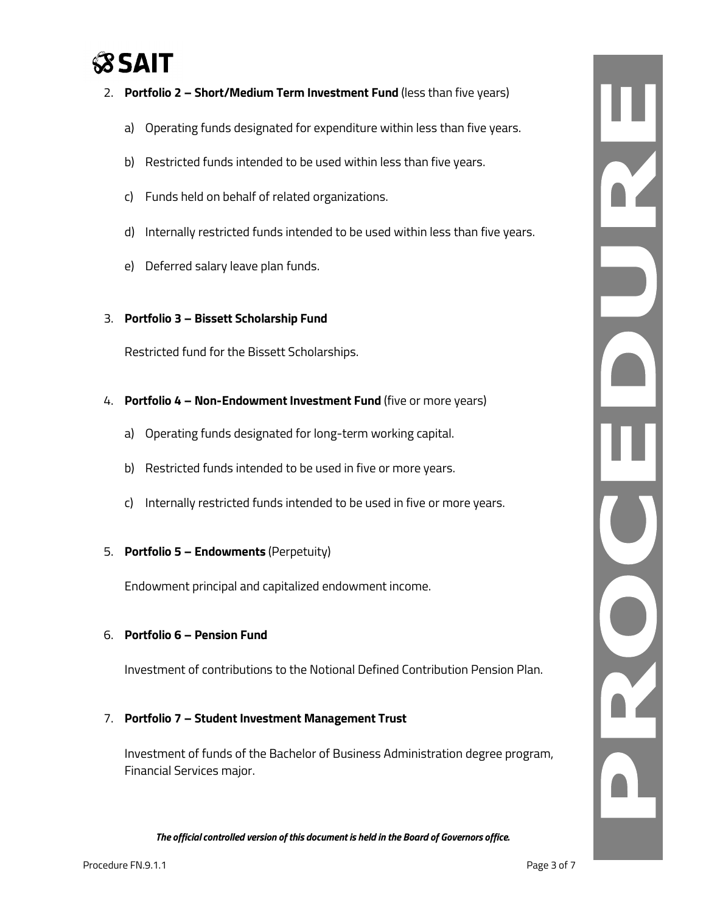# **SSAIT**

- 2. **Portfolio 2 – Short/Medium Term Investment Fund** (less than five years)
	- a) Operating funds designated for expenditure within less than five years.
	- b) Restricted funds intended to be used within less than five years.
	- c) Funds held on behalf of related organizations.
	- d) Internally restricted funds intended to be used within less than five years.
	- e) Deferred salary leave plan funds.

#### 3. **Portfolio 3 – Bissett Scholarship Fund**

Restricted fund for the Bissett Scholarships.

- 4. **Portfolio 4 – Non-Endowment Investment Fund** (five or more years)
	- a) Operating funds designated for long-term working capital.
	- b) Restricted funds intended to be used in five or more years.
	- c) Internally restricted funds intended to be used in five or more years.

# 5. **Portfolio 5 – Endowments** (Perpetuity)

Endowment principal and capitalized endowment income.

#### 6. **Portfolio 6 – Pension Fund**

Investment of contributions to the Notional Defined Contribution Pension Plan.

#### 7. **Portfolio 7 – Student Investment Management Trust**

Investment of funds of the Bachelor of Business Administration degree program, Financial Services major.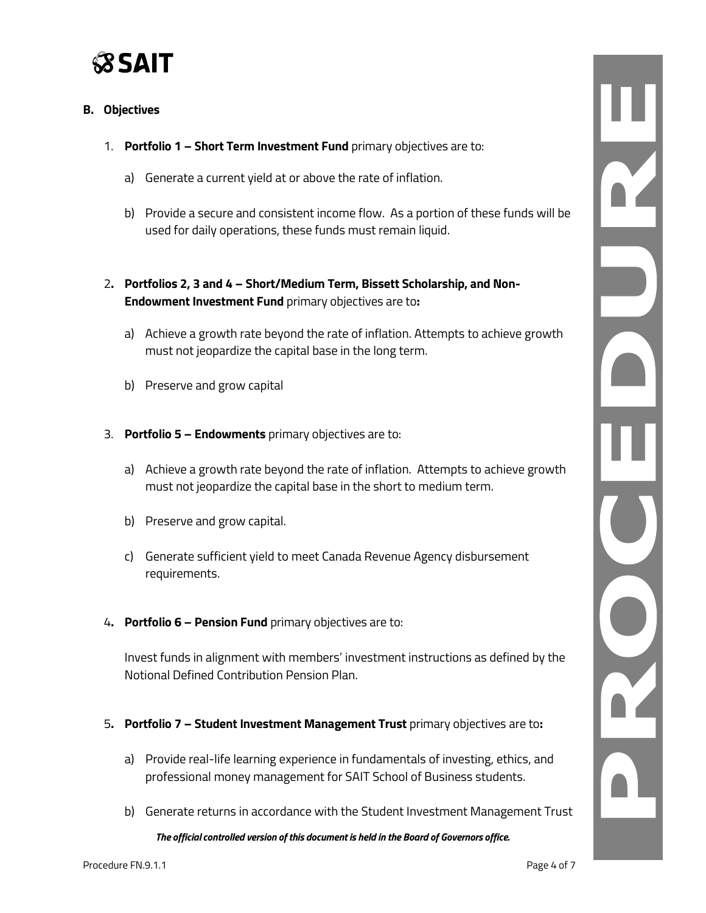

#### **B. Objectives**

- 1. **Portfolio 1 – Short Term Investment Fund** primary objectives are to:
	- a) Generate a current yield at or above the rate of inflation.
	- b) Provide a secure and consistent income flow. As a portion of these funds will be used for daily operations, these funds must remain liquid.
- 2**. Portfolios 2, 3 and 4 – Short/Medium Term, Bissett Scholarship, and Non-Endowment Investment Fund** primary objectives are to**:**
	- a) Achieve a growth rate beyond the rate of inflation. Attempts to achieve growth must not jeopardize the capital base in the long term.
	- b) Preserve and grow capital
- 3. **Portfolio 5 – Endowments** primary objectives are to:
	- a) Achieve a growth rate beyond the rate of inflation. Attempts to achieve growth must not jeopardize the capital base in the short to medium term.
	- b) Preserve and grow capital.
	- c) Generate sufficient yield to meet Canada Revenue Agency disbursement requirements.
- 4**. Portfolio 6 – Pension Fund** primary objectives are to:

Invest funds in alignment with members' investment instructions as defined by the Notional Defined Contribution Pension Plan.

- 5**. Portfolio 7 – Student Investment Management Trust** primary objectives are to**:**
	- a) Provide real-life learning experience in fundamentals of investing, ethics, and professional money management for SAIT School of Business students.
	- b) Generate returns in accordance with the Student Investment Management Trust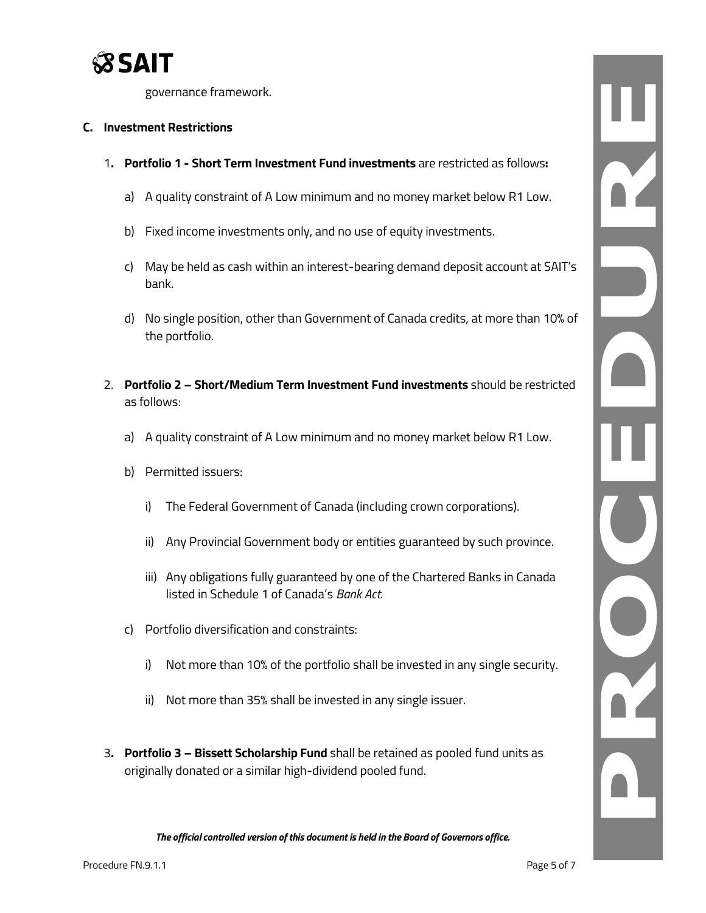

governance framework.

#### **C. Investment Restrictions**

- 1**. Portfolio 1 - Short Term Investment Fund investments** are restricted as follows**:**
	- a) A quality constraint of A Low minimum and no money market below R1 Low.
	- b) Fixed income investments only, and no use of equity investments.
	- c) May be held as cash within an interest-bearing demand deposit account at SAIT's bank.
	- d) No single position, other than Government of Canada credits, at more than 10% of the portfolio.
- 2. **Portfolio 2 – Short/Medium Term Investment Fund investments** should be restricted as follows:
	- a) A quality constraint of A Low minimum and no money market below R1 Low.
	- b) Permitted issuers:
		- i) The Federal Government of Canada (including crown corporations).
		- ii) Any Provincial Government body or entities guaranteed by such province.
		- iii) Any obligations fully guaranteed by one of the Chartered Banks in Canada listed in Schedule 1 of Canada's *Bank Act*.
	- c) Portfolio diversification and constraints:
		- i) Not more than 10% of the portfolio shall be invested in any single security.
		- ii) Not more than 35% shall be invested in any single issuer.
- 3**. Portfolio 3 – Bissett Scholarship Fund** shall be retained as pooled fund units as originally donated or a similar high-dividend pooled fund.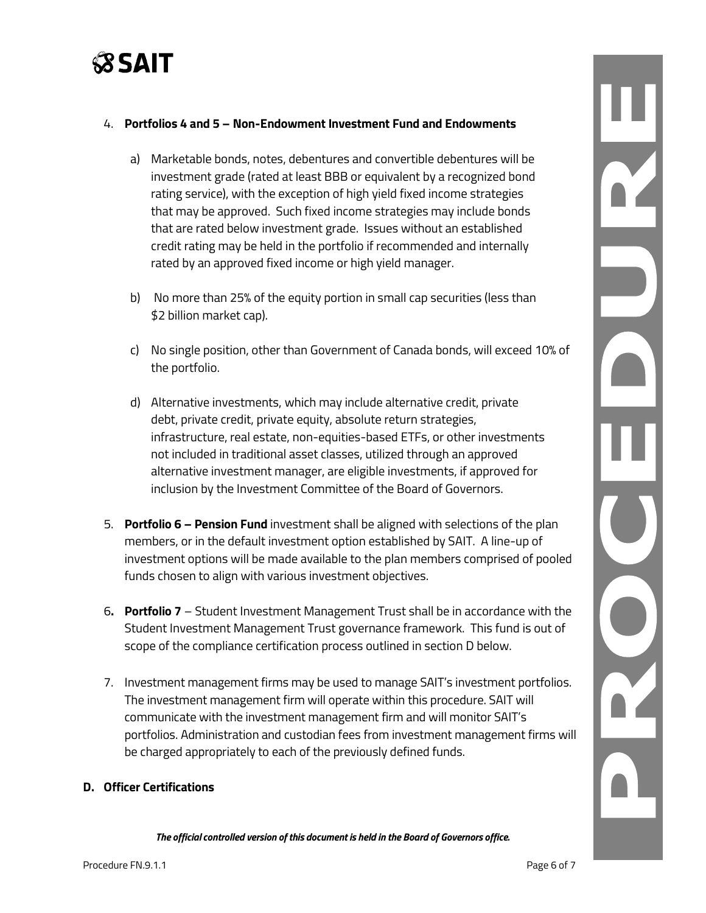

#### 4. **Portfolios 4 and 5 – Non-Endowment Investment Fund and Endowments**

- a) Marketable bonds, notes, debentures and convertible debentures will be investment grade (rated at least BBB or equivalent by a recognized bond rating service), with the exception of high yield fixed income strategies that may be approved. Such fixed income strategies may include bonds that are rated below investment grade. Issues without an established credit rating may be held in the portfolio if recommended and internally rated by an approved fixed income or high yield manager.
- b) No more than 25% of the equity portion in small cap securities (less than \$2 billion market cap).
- c) No single position, other than Government of Canada bonds, will exceed 10% of the portfolio.
- d) Alternative investments, which may include alternative credit, private debt, private credit, private equity, absolute return strategies, infrastructure, real estate, non-equities-based ETFs, or other investments not included in traditional asset classes, utilized through an approved alternative investment manager, are eligible investments, if approved for inclusion by the Investment Committee of the Board of Governors.
- 5. **Portfolio 6 – Pension Fund** investment shall be aligned with selections of the plan members, or in the default investment option established by SAIT. A line-up of investment options will be made available to the plan members comprised of pooled funds chosen to align with various investment objectives.
- 6**. Portfolio 7** Student Investment Management Trust shall be in accordance with the Student Investment Management Trust governance framework. This fund is out of scope of the compliance certification process outlined in section D below.
- 7. Investment management firms may be used to manage SAIT's investment portfolios. The investment management firm will operate within this procedure. SAIT will communicate with the investment management firm and will monitor SAIT's portfolios. Administration and custodian fees from investment management firms will be charged appropriately to each of the previously defined funds.

#### **D. Officer Certifications**